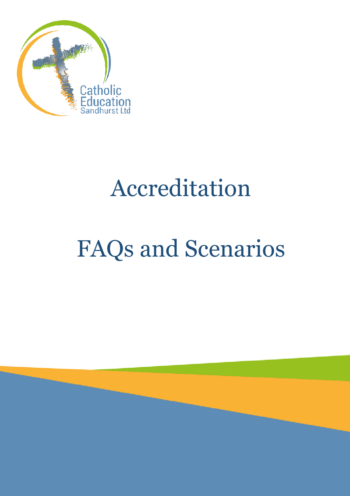

# Accreditation

# FAQs and Scenarios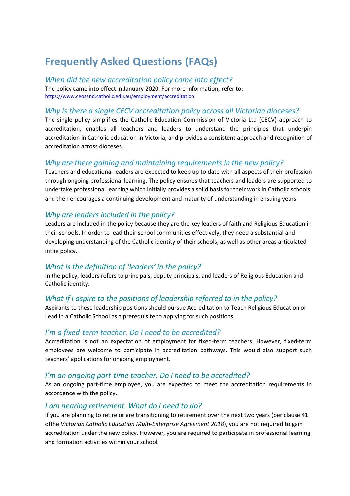# **Frequently Asked Questions (FAQs)**

*When did the new accreditation policy come into effect?* The policy came into effect in January 2020. For more information, refer to: <https://www.ceosand.catholic.edu.au/employment/accreditation>

#### *Why is there a single CECV accreditation policy across all Victorian dioceses?*

The single policy simplifies the Catholic Education Commission of Victoria Ltd (CECV) approach to accreditation, enables all teachers and leaders to understand the principles that underpin accreditation in Catholic education in Victoria, and provides a consistent approach and recognition of accreditation across dioceses.

### *Why are there gaining and maintaining requirements in the new policy?*

Teachers and educational leaders are expected to keep up to date with all aspects of their profession through ongoing professional learning. The policy ensures that teachers and leaders are supported to undertake professional learning which initially provides a solid basis for their work in Catholic schools, and then encourages a continuing development and maturity of understanding in ensuing years.

### *Why are leaders included in the policy?*

Leaders are included in the policy because they are the key leaders of faith and Religious Education in their schools. In order to lead their school communities effectively, they need a substantial and developing understanding of the Catholic identity of their schools, as well as other areas articulated inthe policy.

#### *What is the definition of 'leaders' in the policy?*

In the policy, leaders refers to principals, deputy principals, and leaders of Religious Education and Catholic identity.

#### *What if I aspire to the positions of leadership referred to in the policy?*

Aspirants to these leadership positions should pursue Accreditation to Teach Religious Education or Lead in a Catholic School as a prerequisite to applying for such positions.

#### *I'm a fixed-term teacher. Do I need to be accredited?*

Accreditation is not an expectation of employment for fixed-term teachers. However, fixed-term employees are welcome to participate in accreditation pathways. This would also support such teachers' applications for ongoing employment.

#### *I'm an ongoing part-time teacher. Do I need to be accredited?*

As an ongoing part-time employee, you are expected to meet the accreditation requirements in accordance with the policy.

#### *I am nearing retirement. What do I need to do?*

If you are planning to retire or are transitioning to retirement over the next two years (per clause 41 ofthe *Victorian Catholic Education Multi-Enterprise Agreement 2018*), you are not required to gain accreditation under the new policy. However, you are required to participate in professional learning and formation activities within your school.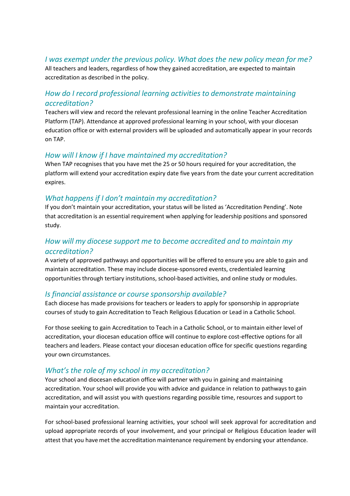#### *I was exempt under the previous policy. What does the new policy mean for me?*

All teachers and leaders, regardless of how they gained accreditation, are expected to maintain accreditation as described in the policy.

## *How do I record professional learning activities to demonstrate maintaining accreditation?*

Teachers will view and record the relevant professional learning in the online Teacher Accreditation Platform (TAP). Attendance at approved professional learning in your school, with your diocesan education office or with external providers will be uploaded and automatically appear in your records on TAP.

#### *How will I know if I have maintained my accreditation?*

When TAP recognises that you have met the 25 or 50 hours required for your accreditation, the platform will extend your accreditation expiry date five years from the date your current accreditation expires.

#### *What happens if I don't maintain my accreditation?*

If you don't maintain your accreditation, your status will be listed as 'Accreditation Pending'. Note that accreditation is an essential requirement when applying for leadership positions and sponsored study.

# *How will my diocese support me to become accredited and to maintain my accreditation?*

A variety of approved pathways and opportunities will be offered to ensure you are able to gain and maintain accreditation. These may include diocese-sponsored events, credentialed learning opportunities through tertiary institutions, school-based activities, and online study or modules.

#### *Is financial assistance or course sponsorship available?*

Each diocese has made provisions for teachers or leaders to apply for sponsorship in appropriate courses of study to gain Accreditation to Teach Religious Education or Lead in a Catholic School.

For those seeking to gain Accreditation to Teach in a Catholic School, or to maintain either level of accreditation, your diocesan education office will continue to explore cost-effective options for all teachers and leaders. Please contact your diocesan education office for specific questions regarding your own circumstances.

#### *What's the role of my school in my accreditation?*

Your school and diocesan education office will partner with you in gaining and maintaining accreditation. Your school will provide you with advice and guidance in relation to pathways to gain accreditation, and will assist you with questions regarding possible time, resources and support to maintain your accreditation.

For school-based professional learning activities, your school will seek approval for accreditation and upload appropriate records of your involvement, and your principal or Religious Education leader will attest that you have met the accreditation maintenance requirement by endorsing your attendance.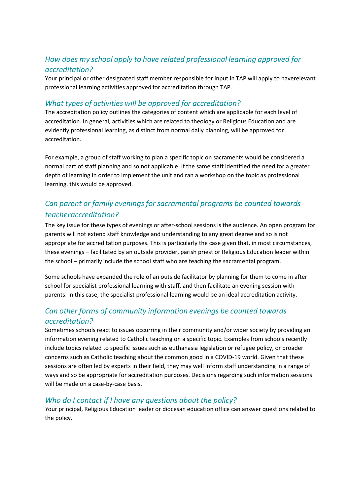# *How does my school apply to have related professional learning approved for accreditation?*

Your principal or other designated staff member responsible for input in TAP will apply to haverelevant professional learning activities approved for accreditation through TAP.

### *What types of activities will be approved for accreditation?*

The accreditation policy outlines the categories of content which are applicable for each level of accreditation. In general, activities which are related to theology or Religious Education and are evidently professional learning, as distinct from normal daily planning, will be approved for accreditation.

For example, a group of staff working to plan a specific topic on sacraments would be considered a normal part of staff planning and so not applicable. If the same staff identified the need for a greater depth of learning in order to implement the unit and ran a workshop on the topic as professional learning, this would be approved.

# *Can parent or family evenings for sacramental programs be counted towards teacheraccreditation?*

The key issue for these types of evenings or after-school sessions is the audience. An open program for parents will not extend staff knowledge and understanding to any great degree and so is not appropriate for accreditation purposes. This is particularly the case given that, in most circumstances, these evenings – facilitated by an outside provider, parish priest or Religious Education leader within the school – primarily include the school staff who are teaching the sacramental program.

Some schools have expanded the role of an outside facilitator by planning for them to come in after school for specialist professional learning with staff, and then facilitate an evening session with parents. In this case, the specialist professional learning would be an ideal accreditation activity.

# *Can other forms of community information evenings be counted towards accreditation?*

Sometimes schools react to issues occurring in their community and/or wider society by providing an information evening related to Catholic teaching on a specific topic. Examples from schools recently include topics related to specific issues such as euthanasia legislation or refugee policy, or broader concerns such as Catholic teaching about the common good in a COVID-19 world. Given that these sessions are often led by experts in their field, they may well inform staff understanding in a range of ways and so be appropriate for accreditation purposes. Decisions regarding such information sessions will be made on a case-by-case basis.

# *Who do I contact if I have any questions about the policy?*

*Y*our principal, Religious Education leader or diocesan education office can answer questions related to the policy.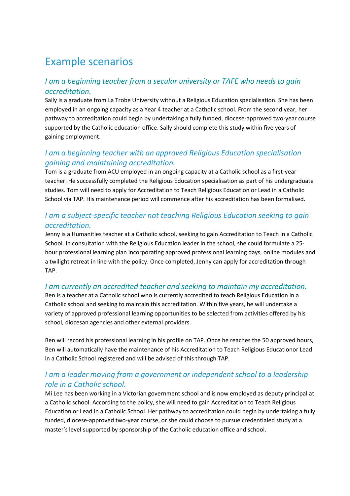# Example scenarios

# *I am a beginning teacher from a secular university or TAFE who needs to gain accreditation.*

Sally is a graduate from La Trobe University without a Religious Education specialisation. She has been employed in an ongoing capacity as a Year 4 teacher at a Catholic school. From the second year, her pathway to accreditation could begin by undertaking a fully funded, diocese-approved two-year course supported by the Catholic education office. Sally should complete this study within five years of gaining employment.

# *I am a beginning teacher with an approved Religious Education specialisation gaining and maintaining accreditation.*

Tom is a graduate from ACU employed in an ongoing capacity at a Catholic school as a first-year teacher. He successfully completed the Religious Education specialisation as part of his undergraduate studies. Tom will need to apply for Accreditation to Teach Religious Education or Lead in a Catholic School via TAP. His maintenance period will commence after his accreditation has been formalised.

# *I am a subject-specific teacher not teaching Religious Education seeking to gain accreditation.*

Jenny is a Humanities teacher at a Catholic school, seeking to gain Accreditation to Teach in a Catholic School. In consultation with the Religious Education leader in the school, she could formulate a 25 hour professional learning plan incorporating approved professional learning days, online modules and a twilight retreat in line with the policy. Once completed, Jenny can apply for accreditation through TAP.

# *I am currently an accredited teacher and seeking to maintain my accreditation.*

Ben is a teacher at a Catholic school who is currently accredited to teach Religious Education in a Catholic school and seeking to maintain this accreditation. Within five years, he will undertake a variety of approved professional learning opportunities to be selected from activities offered by his school, diocesan agencies and other external providers.

Ben will record his professional learning in his profile on TAP. Once he reaches the 50 approved hours, Ben will automatically have the maintenance of his Accreditation to Teach Religious Educationor Lead in a Catholic School registered and will be advised of this through TAP.

# *I am a leader moving from a government or independent school to a leadership role in a Catholic school.*

Mi Lee has been working in a Victorian government school and is now employed as deputy principal at a Catholic school. According to the policy, she will need to gain Accreditation to Teach Religious Education or Lead in a Catholic School. Her pathway to accreditation could begin by undertaking a fully funded, diocese-approved two-year course, or she could choose to pursue credentialed study at a master's level supported by sponsorship of the Catholic education office and school.